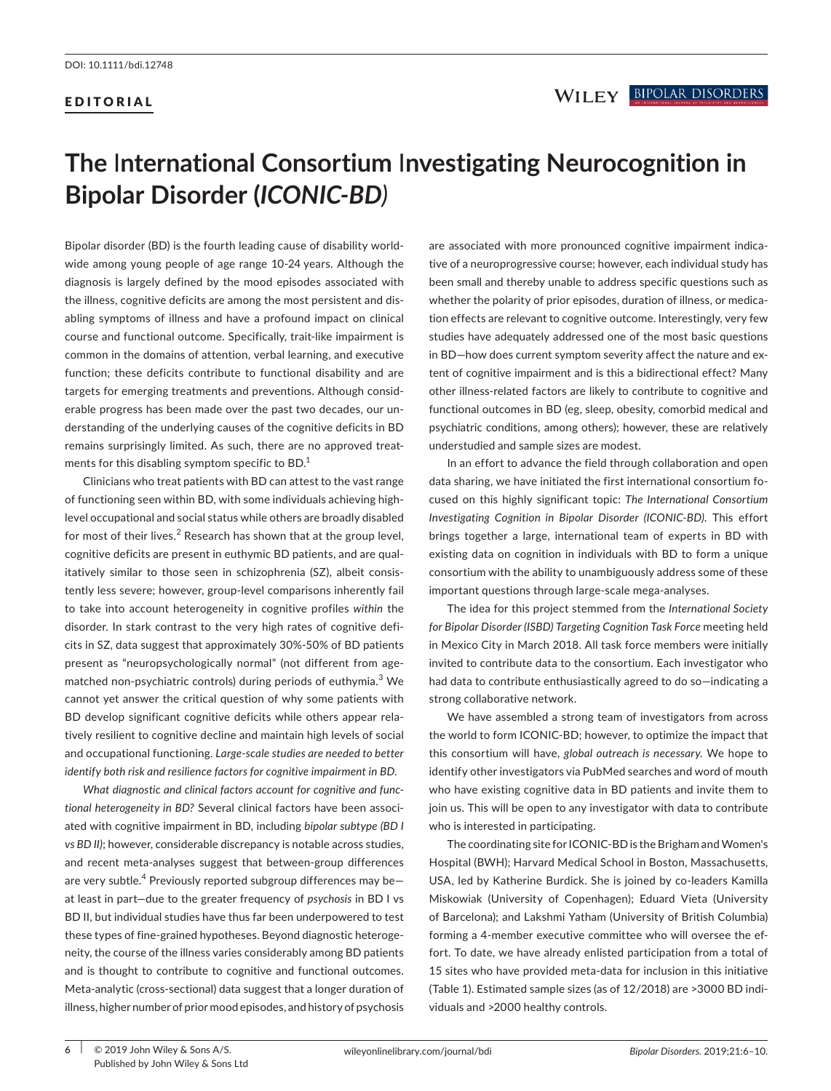## EDITORIAL

# **The** I**nternational Consortium** I**nvestigating Neurocognition in Bipolar Disorder (***ICONIC‐BD)*

Bipolar disorder (BD) is the fourth leading cause of disability world‐ wide among young people of age range 10‐24 years. Although the diagnosis is largely defined by the mood episodes associated with the illness, cognitive deficits are among the most persistent and dis‐ abling symptoms of illness and have a profound impact on clinical course and functional outcome. Specifically, trait‐like impairment is common in the domains of attention, verbal learning, and executive function; these deficits contribute to functional disability and are targets for emerging treatments and preventions. Although consid‐ erable progress has been made over the past two decades, our un‐ derstanding of the underlying causes of the cognitive deficits in BD remains surprisingly limited. As such, there are no approved treatments for this disabling symptom specific to BD.<sup>1</sup>

Clinicians who treat patients with BD can attest to the vast range of functioning seen within BD, with some individuals achieving high‐ level occupational and social status while others are broadly disabled for most of their lives. $2$  Research has shown that at the group level, cognitive deficits are present in euthymic BD patients, and are qual‐ itatively similar to those seen in schizophrenia (SZ), albeit consis‐ tently less severe; however, group‐level comparisons inherently fail to take into account heterogeneity in cognitive profiles *within* the disorder. In stark contrast to the very high rates of cognitive defi‐ cits in SZ, data suggest that approximately 30%‐50% of BD patients present as "neuropsychologically normal" (not different from age‐ matched non-psychiatric controls) during periods of euthymia.<sup>3</sup> We cannot yet answer the critical question of why some patients with BD develop significant cognitive deficits while others appear rela‐ tively resilient to cognitive decline and maintain high levels of social and occupational functioning*. Large‐scale studies are needed to better identify both risk and resilience factors for cognitive impairment in BD*.

*What diagnostic and clinical factors account for cognitive and func‐ tional heterogeneity in BD?* Several clinical factors have been associ‐ ated with cognitive impairment in BD, including *bipolar subtype (BD I vs BD II)*; however, considerable discrepancy is notable across studies, and recent meta‐analyses suggest that between‐group differences are very subtle.<sup>4</sup> Previously reported subgroup differences may be at least in part—due to the greater frequency of *psychosis* in BD I vs BD II, but individual studies have thus far been underpowered to test these types of fine‐grained hypotheses. Beyond diagnostic heteroge‐ neity, the course of the illness varies considerably among BD patients and is thought to contribute to cognitive and functional outcomes. Meta-analytic (cross-sectional) data suggest that a longer duration of illness, higher number of prior mood episodes, and history of psychosis

are associated with more pronounced cognitive impairment indicative of a neuroprogressive course; however, each individual study has been small and thereby unable to address specific questions such as whether the polarity of prior episodes, duration of illness, or medication effects are relevant to cognitive outcome. Interestingly, very few studies have adequately addressed one of the most basic questions in BD-how does current symptom severity affect the nature and extent of cognitive impairment and is this a bidirectional effect? Many other illness‐related factors are likely to contribute to cognitive and functional outcomes in BD (eg, sleep, obesity, comorbid medical and psychiatric conditions, among others); however, these are relatively understudied and sample sizes are modest.

In an effort to advance the field through collaboration and open data sharing, we have initiated the first international consortium focused on this highly significant topic: *The International Consortium Investigating Cognition in Bipolar Disorder (ICONIC‐BD)*. This effort brings together a large, international team of experts in BD with existing data on cognition in individuals with BD to form a unique consortium with the ability to unambiguously address some of these important questions through large-scale mega-analyses.

The idea for this project stemmed from the *International Society for Bipolar Disorder (ISBD) Targeting Cognition Task Force* meeting held in Mexico City in March 2018. All task force members were initially invited to contribute data to the consortium. Each investigator who had data to contribute enthusiastically agreed to do so—indicating a strong collaborative network.

We have assembled a strong team of investigators from across the world to form ICONIC‐BD; however, to optimize the impact that this consortium will have, *global outreach is necessary*. We hope to identify other investigators via PubMed searches and word of mouth who have existing cognitive data in BD patients and invite them to join us. This will be open to any investigator with data to contribute who is interested in participating.

The coordinating site for ICONIC‐BD is the Brigham and Women's Hospital (BWH); Harvard Medical School in Boston, Massachusetts, USA, led by Katherine Burdick. She is joined by co‐leaders Kamilla Miskowiak (University of Copenhagen); Eduard Vieta (University of Barcelona); and Lakshmi Yatham (University of British Columbia) forming a 4‐member executive committee who will oversee the ef‐ fort. To date, we have already enlisted participation from a total of 15 sites who have provided meta‐data for inclusion in this initiative (Table 1). Estimated sample sizes (as of 12/2018) are >3000 BD indi‐ viduals and >2000 healthy controls.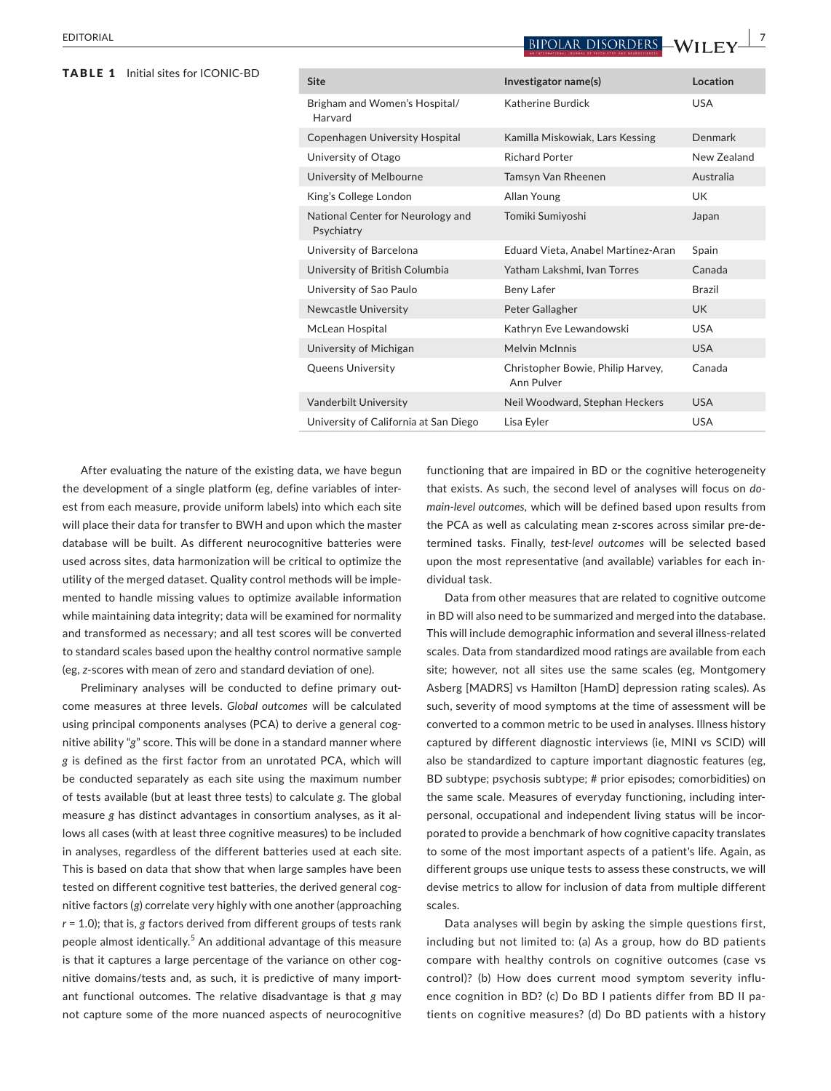## TABLE 1 Initial sites for ICONIC‐BD

| BIPOLAR DISORDERS — |  |  |
|---------------------|--|--|
|                     |  |  |

**EDITORIAL** BIPOLAR DISORDERS WILL FV **Site Investigator name(s) Location** Brigham and Women's Hospital/ Harvard Katherine Burdick **WALLACK CONTROLLER** Copenhagen University Hospital Kamilla Miskowiak, Lars Kessing Denmark University of Otago **Richard Porter** New Zealand University of Melbourne Tamsyn Van Rheenen Australia King's College London **Allan Young** Manager College London **UK** National Center for Neurology and Psychiatry Tomiki Sumiyoshi Japan University of Barcelona Eduard Vieta, Anabel Martinez‐Aran Spain University of British Columbia Yatham Lakshmi, Ivan Torres Canada University of Sao Paulo Beny Lafer Theory Lafer Brazil Newcastle University **Newcastle University** Peter Gallagher Newcastle UK McLean Hospital The Communist Cathryn Eve Lewandowski CASA University of Michigan Melvin McInnis Communication COSA Queens University Christopher Bowie, Philip Harvey, Ann Pulver Canada Vanderbilt University Neil Woodward, Stephan Heckers USA University of California at San Diego Lisa Eyler Custom Custom USA

After evaluating the nature of the existing data, we have begun the development of a single platform (eg, define variables of inter‐ est from each measure, provide uniform labels) into which each site will place their data for transfer to BWH and upon which the master database will be built. As different neurocognitive batteries were used across sites, data harmonization will be critical to optimize the utility of the merged dataset. Quality control methods will be imple‐ mented to handle missing values to optimize available information while maintaining data integrity; data will be examined for normality and transformed as necessary; and all test scores will be converted to standard scales based upon the healthy control normative sample (eg, *z*‐scores with mean of zero and standard deviation of one).

Preliminary analyses will be conducted to define primary outcome measures at three levels. *Global outcomes* will be calculated using principal components analyses (PCA) to derive a general cognitive ability "*g*" score. This will be done in a standard manner where *g* is defined as the first factor from an unrotated PCA, which will be conducted separately as each site using the maximum number of tests available (but at least three tests) to calculate *g*. The global measure *g* has distinct advantages in consortium analyses, as it al‐ lows all cases (with at least three cognitive measures) to be included in analyses, regardless of the different batteries used at each site. This is based on data that show that when large samples have been tested on different cognitive test batteries, the derived general cognitive factors (*g*) correlate very highly with one another (approaching *r* = 1.0); that is, *g* factors derived from different groups of tests rank people almost identically.<sup>5</sup> An additional advantage of this measure is that it captures a large percentage of the variance on other cognitive domains/tests and, as such, it is predictive of many import‐ ant functional outcomes. The relative disadvantage is that *g* may not capture some of the more nuanced aspects of neurocognitive

functioning that are impaired in BD or the cognitive heterogeneity that exists. As such, the second level of analyses will focus on *do‐ main‐level outcomes,* which will be defined based upon results from the PCA as well as calculating mean z-scores across similar pre-determined tasks. Finally, *test‐level outcomes* will be selected based upon the most representative (and available) variables for each in‐ dividual task.

Data from other measures that are related to cognitive outcome in BD will also need to be summarized and merged into the database. This will include demographic information and several illness-related scales. Data from standardized mood ratings are available from each site; however, not all sites use the same scales (eg, Montgomery Asberg [MADRS] vs Hamilton [HamD] depression rating scales). As such, severity of mood symptoms at the time of assessment will be converted to a common metric to be used in analyses. Illness history captured by different diagnostic interviews (ie, MINI vs SCID) will also be standardized to capture important diagnostic features (eg, BD subtype; psychosis subtype; # prior episodes; comorbidities) on the same scale. Measures of everyday functioning, including inter‐ personal, occupational and independent living status will be incorporated to provide a benchmark of how cognitive capacity translates to some of the most important aspects of a patient's life. Again, as different groups use unique tests to assess these constructs, we will devise metrics to allow for inclusion of data from multiple different scales.

Data analyses will begin by asking the simple questions first, including but not limited to: (a) As a group, how do BD patients compare with healthy controls on cognitive outcomes (case vs control)? (b) How does current mood symptom severity influence cognition in BD? (c) Do BD I patients differ from BD II patients on cognitive measures? (d) Do BD patients with a history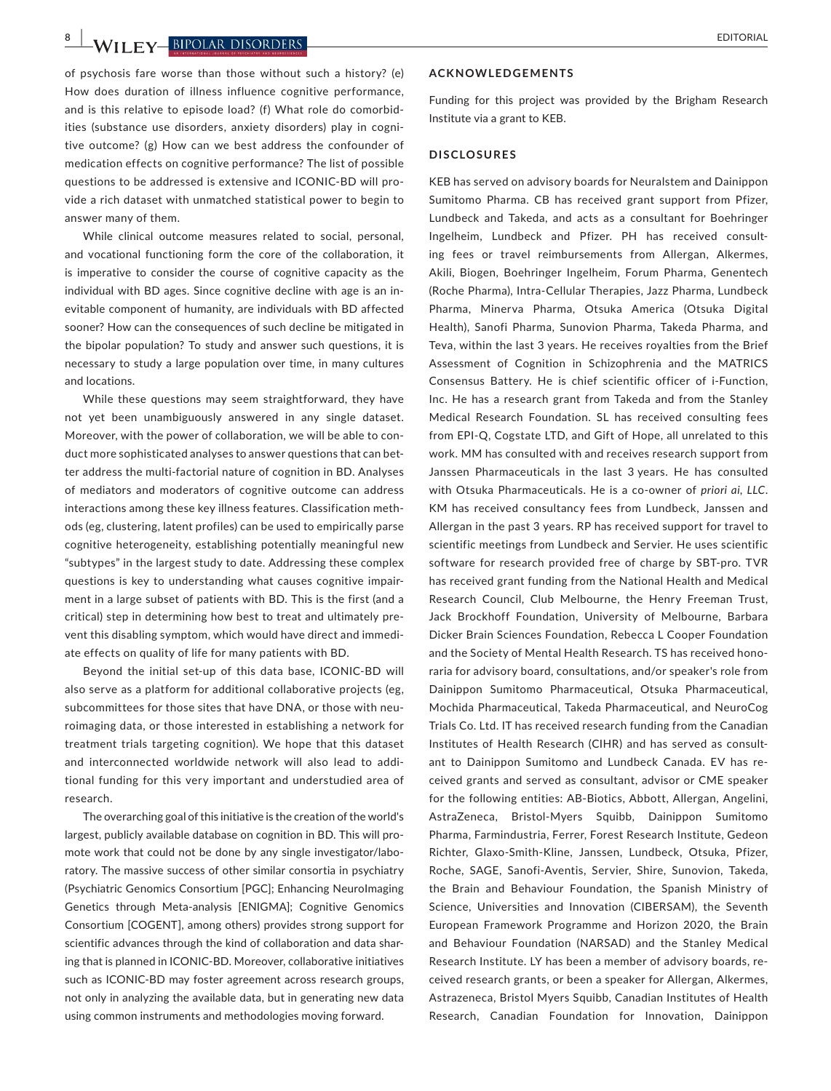**8 |**  EDITORIAL

of psychosis fare worse than those without such a history? (e) How does duration of illness influence cognitive performance, and is this relative to episode load? (f) What role do comorbid‐ ities (substance use disorders, anxiety disorders) play in cogni‐ tive outcome? (g) How can we best address the confounder of medication effects on cognitive performance? The list of possible questions to be addressed is extensive and ICONIC‐BD will pro‐ vide a rich dataset with unmatched statistical power to begin to answer many of them.

While clinical outcome measures related to social, personal, and vocational functioning form the core of the collaboration, it is imperative to consider the course of cognitive capacity as the individual with BD ages. Since cognitive decline with age is an in‐ evitable component of humanity, are individuals with BD affected sooner? How can the consequences of such decline be mitigated in the bipolar population? To study and answer such questions, it is necessary to study a large population over time, in many cultures and locations.

While these questions may seem straightforward, they have not yet been unambiguously answered in any single dataset. Moreover, with the power of collaboration, we will be able to conduct more sophisticated analyses to answer questions that can bet‐ ter address the multi-factorial nature of cognition in BD. Analyses of mediators and moderators of cognitive outcome can address interactions among these key illness features. Classification meth‐ ods (eg, clustering, latent profiles) can be used to empirically parse cognitive heterogeneity, establishing potentially meaningful new "subtypes" in the largest study to date. Addressing these complex questions is key to understanding what causes cognitive impair‐ ment in a large subset of patients with BD. This is the first (and a critical) step in determining how best to treat and ultimately pre‐ vent this disabling symptom, which would have direct and immedi‐ ate effects on quality of life for many patients with BD.

Beyond the initial set‐up of this data base, ICONIC‐BD will also serve as a platform for additional collaborative projects (eg, subcommittees for those sites that have DNA, or those with neuroimaging data, or those interested in establishing a network for treatment trials targeting cognition). We hope that this dataset and interconnected worldwide network will also lead to addi‐ tional funding for this very important and understudied area of research.

The overarching goal of this initiative is the creation of the world's largest, publicly available database on cognition in BD. This will pro‐ mote work that could not be done by any single investigator/labo‐ ratory. The massive success of other similar consortia in psychiatry (Psychiatric Genomics Consortium [PGC]; Enhancing NeuroImaging Genetics through Meta‐analysis [ENIGMA]; Cognitive Genomics Consortium [COGENT], among others) provides strong support for scientific advances through the kind of collaboration and data shar‐ ing that is planned in ICONIC‐BD. Moreover, collaborative initiatives such as ICONIC‐BD may foster agreement across research groups, not only in analyzing the available data, but in generating new data using common instruments and methodologies moving forward.

#### **ACKNOWLEDGEMENTS**

Funding for this project was provided by the Brigham Research Institute via a grant to KEB.

#### **DISCLOSURES**

KEB has served on advisory boards for Neuralstem and Dainippon Sumitomo Pharma. CB has received grant support from Pfizer, Lundbeck and Takeda, and acts as a consultant for Boehringer Ingelheim, Lundbeck and Pfizer. PH has received consult‐ ing fees or travel reimbursements from Allergan, Alkermes, Akili, Biogen, Boehringer Ingelheim, Forum Pharma, Genentech (Roche Pharma), Intra‐Cellular Therapies, Jazz Pharma, Lundbeck Pharma, Minerva Pharma, Otsuka America (Otsuka Digital Health), Sanofi Pharma, Sunovion Pharma, Takeda Pharma, and Teva, within the last 3 years. He receives royalties from the Brief Assessment of Cognition in Schizophrenia and the MATRICS Consensus Battery. He is chief scientific officer of i‐Function, Inc. He has a research grant from Takeda and from the Stanley Medical Research Foundation. SL has received consulting fees from EPI‐Q, Cogstate LTD, and Gift of Hope, all unrelated to this work. MM has consulted with and receives research support from Janssen Pharmaceuticals in the last 3 years. He has consulted with Otsuka Pharmaceuticals. He is a co‐owner of *priori ai, LLC*. KM has received consultancy fees from Lundbeck, Janssen and Allergan in the past 3 years. RP has received support for travel to scientific meetings from Lundbeck and Servier. He uses scientific software for research provided free of charge by SBT‐pro. TVR has received grant funding from the National Health and Medical Research Council, Club Melbourne, the Henry Freeman Trust, Jack Brockhoff Foundation, University of Melbourne, Barbara Dicker Brain Sciences Foundation, Rebecca L Cooper Foundation and the Society of Mental Health Research. TS has received hono‐ raria for advisory board, consultations, and/or speaker's role from Dainippon Sumitomo Pharmaceutical, Otsuka Pharmaceutical, Mochida Pharmaceutical, Takeda Pharmaceutical, and NeuroCog Trials Co. Ltd. IT has received research funding from the Canadian Institutes of Health Research (CIHR) and has served as consult‐ ant to Dainippon Sumitomo and Lundbeck Canada. EV has re‐ ceived grants and served as consultant, advisor or CME speaker for the following entities: AB‐Biotics, Abbott, Allergan, Angelini, AstraZeneca, Bristol‐Myers Squibb, Dainippon Sumitomo Pharma, Farmindustria, Ferrer, Forest Research Institute, Gedeon Richter, Glaxo‐Smith‐Kline, Janssen, Lundbeck, Otsuka, Pfizer, Roche, SAGE, Sanofi‐Aventis, Servier, Shire, Sunovion, Takeda, the Brain and Behaviour Foundation, the Spanish Ministry of Science, Universities and Innovation (CIBERSAM), the Seventh European Framework Programme and Horizon 2020, the Brain and Behaviour Foundation (NARSAD) and the Stanley Medical Research Institute. LY has been a member of advisory boards, re‐ ceived research grants, or been a speaker for Allergan, Alkermes, Astrazeneca, Bristol Myers Squibb, Canadian Institutes of Health Research, Canadian Foundation for Innovation, Dainippon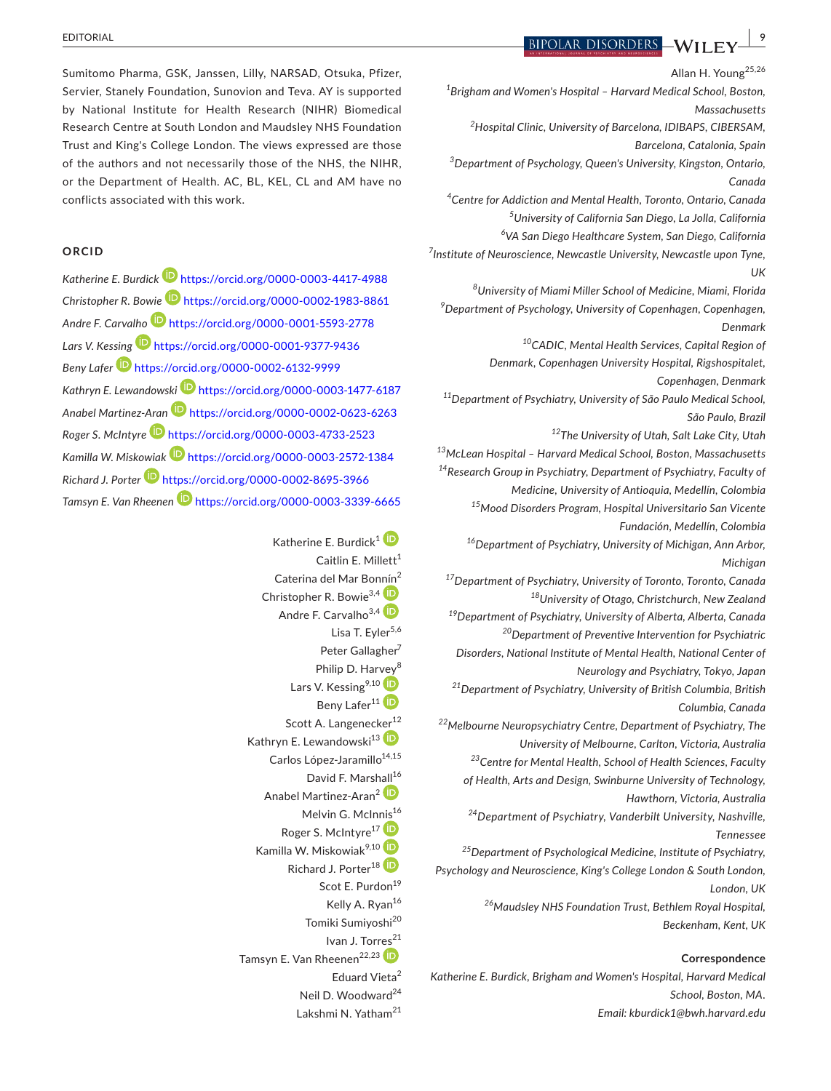Sumitomo Pharma, GSK, Janssen, Lilly, NARSAD, Otsuka, Pfizer, Servier, Stanely Foundation, Sunovion and Teva. AY is supported by National Institute for Health Research (NIHR) Biomedical Research Centre at South London and Maudsley NHS Foundation Trust and King's College London. The views expressed are those of the authors and not necessarily those of the NHS, the NIHR, or the Department of Health. AC, BL, KEL, CL and AM have no conflicts associated with this work.

## **ORCID**

*Katherine E. Burdic[k](https://orcid.org/0000-0003-4417-4988)* <https://orcid.org/0000-0003-4417-4988> *Christopher R. Bowie* <https://orcid.org/0000-0002-1983-8861> *Andre F. Carvalho* <https://orcid.org/0000-0001-5593-2778> *Lars V. Kessing* <https://orcid.org/0000-0001-9377-9436> *Beny Lafe[r](https://orcid.org/0000-0002-6132-9999)* <https://orcid.org/0000-0002-6132-9999> *Kathryn E. Lewandowsk[i](https://orcid.org/0000-0003-1477-6187)* <https://orcid.org/0000-0003-1477-6187> *Anabel Martinez‐Ara[n](https://orcid.org/0000-0002-0623-6263)* <https://orcid.org/0000-0002-0623-6263> *Roger S. McIntyr[e](https://orcid.org/0000-0003-4733-2523)* <https://orcid.org/0000-0003-4733-2523> *Kamilla W. Miskowiak* <https://orcid.org/0000-0003-2572-1384> *Richard J. Porter* <https://orcid.org/0000-0002-8695-3966> *Tamsyn E. Van Rheenen* <https://orcid.org/0000-0003-3339-6665>

> Katherine E. Burdick<sup>[1](https://orcid.org/0000-0003-4417-4988)</sup> Caitlin E. Millett<sup>1</sup> Caterina del Mar Bo[nnín](https://orcid.org/0000-0002-1983-8861)<sup>2</sup> Christopher R. Bowie<sup>3,4</sup> Andre F. Carvalho<sup>3,[4](https://orcid.org/0000-0001-5593-2778)</sup> Lisa T. Evler $5,6$ Peter Gallagher<sup>7</sup> Philip D. Har[vey](https://orcid.org/0000-0001-9377-9436)<sup>8</sup> Lars V. Kessing<sup>9,10</sup> Beny Lafer<sup>[1](https://orcid.org/0000-0002-6132-9999)1</sup> **D** Scott A. Langenec[ker](https://orcid.org/0000-0003-1477-6187)<sup>12</sup> Kathryn E. Lewandowski<sup>13</sup> Carlos López-Jaramillo<sup>14,15</sup> David F. Mars[hall](https://orcid.org/0000-0002-0623-6263)<sup>16</sup> Anabel Martinez-Aran<sup>2</sup><sup>D</sup> Melvin G. McIn[nis](https://orcid.org/0000-0003-4733-2523)<sup>16</sup> Roger S. McIntyre<sup>17</sup><sup>(D</sup> Kamilla W. Miskowiak<sup>9,1[0](https://orcid.org/0000-0003-2572-1384)</sup> Richard J. Porter<sup>1[8](https://orcid.org/0000-0002-8695-3966)</sup><sup>(D</sup>) Scot E. Purdon<sup>19</sup> Kelly A. Ryan<sup>16</sup> Tomiki Sumiyoshi<sup>20</sup> Ivan J. Tor[res](https://orcid.org/0000-0003-3339-6665)<sup>21</sup> Tamsyn E. Van Rheenen<sup>22,23</sup> Eduard Vieta<sup>2</sup> Neil D. Woodward<sup>24</sup> Lakshmi N. Yatham<sup>21</sup>

**EDITORIAL BIPOLAR DISORDERS** WILL FY

Allan H. Young<sup>25,26</sup> *1 Brigham and Women's Hospital – Harvard Medical School, Boston, Massachusetts 2 Hospital Clinic, University of Barcelona, IDIBAPS, CIBERSAM, Barcelona, Catalonia, Spain 3 Department of Psychology, Queen's University, Kingston, Ontario, Canada 4 Centre for Addiction and Mental Health, Toronto, Ontario, Canada 5 University of California San Diego, La Jolla, California 6 VA San Diego Healthcare System, San Diego, California 7 Institute of Neuroscience, Newcastle University, Newcastle upon Tyne, UK 8 University of Miami Miller School of Medicine, Miami, Florida 9 Department of Psychology, University of Copenhagen, Copenhagen, Denmark 10CADIC, Mental Health Services, Capital Region of Denmark, Copenhagen University Hospital, Rigshospitalet, Copenhagen, Denmark 11Department of Psychiatry, University of São Paulo Medical School, São Paulo, Brazil 12The University of Utah, Salt Lake City, Utah 13McLean Hospital – Harvard Medical School, Boston, Massachusetts 14Research Group in Psychiatry, Department of Psychiatry, Faculty of Medicine, University of Antioquia, Medellín, Colombia 15Mood Disorders Program, Hospital Universitario San Vicente Fundación, Medellín, Colombia 16Department of Psychiatry, University of Michigan, Ann Arbor, Michigan 17Department of Psychiatry, University of Toronto, Toronto, Canada 18University of Otago, Christchurch, New Zealand 19Department of Psychiatry, University of Alberta, Alberta, Canada 20Department of Preventive Intervention for Psychiatric Disorders, National Institute of Mental Health, National Center of Neurology and Psychiatry, Tokyo, Japan 21Department of Psychiatry, University of British Columbia, British Columbia, Canada 22Melbourne Neuropsychiatry Centre, Department of Psychiatry, The University of Melbourne, Carlton, Victoria, Australia 23Centre for Mental Health, School of Health Sciences, Faculty of Health, Arts and Design, Swinburne University of Technology, Hawthorn, Victoria, Australia 24Department of Psychiatry, Vanderbilt University, Nashville, Tennessee 25Department of Psychological Medicine, Institute of Psychiatry, Psychology and Neuroscience, King's College London & South London, London, UK 26Maudsley NHS Foundation Trust, Bethlem Royal Hospital, Beckenham, Kent, UK*

## **Correspondence**

*Katherine E. Burdick, Brigham and Women's Hospital, Harvard Medical School, Boston, MA. Email: [kburdick1@bwh.harvard.edu](mailto:kburdick1@bwh.harvard.edu)*